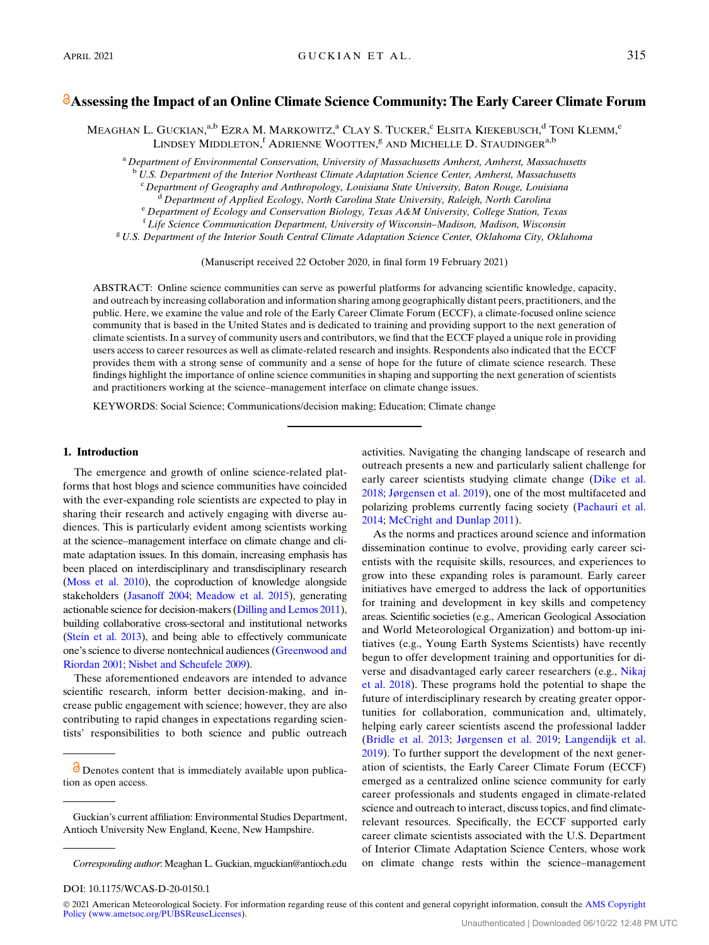# Assessing the Impact of an Online Climate Science Community: The Early Career Climate Forum

MEAGHAN L. GUCKIAN,<sup>a,b</sup> Ezra M. Markowitz,<sup>a</sup> Clay S. Tucker,<sup>e</sup> Elsita Kiekebusch,<sup>d</sup> Toni Klemm,<sup>e</sup> LINDSEY MIDDLETON,<sup>f</sup> ADRIENNE WOOTTEN,<sup>g</sup> and Michelle D. Staudinger<sup>a,b</sup>

<sup>a</sup> Department of Environmental Conservation, University of Massachusetts Amherst, Amherst, Massachusetts

U.S. Department of the Interior Northeast Climate Adaptation Science Center, Amherst, Massachusetts

 $\degree$  Department of Geography and Anthropology, Louisiana State University, Baton Rouge, Louisiana  $\degree$  Department of Applied Ecology, North Carolina State University, Raleigh, North Carolina

<sup>e</sup> Department of Ecology and Conservation Biology, Texas A&M University, College Station, Texas <sup>f</sup> Life Science Communication Department, University of Wisconsin-Madison, Madison, Wisconsin

<sup>8</sup> U.S. Department of the Interior South Central Climate Adaptation Science Center, Oklahoma City, Oklahoma

(Manuscript received 22 October 2020, in final form 19 February 2021)

ABSTRACT: Online science communities can serve as powerful platforms for advancing scientific knowledge, capacity, and outreach by increasing collaboration and information sharing among geographically distant peers, practitioners, and the public. Here, we examine the value and role of the Early Career Climate Forum (ECCF), a climate-focused online science community that is based in the United States and is dedicated to training and providing support to the next generation of climate scientists. In a survey of community users and contributors, we find that the ECCF played a unique role in providing users access to career resources as well as climate-related research and insights. Respondents also indicated that the ECCF provides them with a strong sense of community and a sense of hope for the future of climate science research. These findings highlight the importance of online science communities in shaping and supporting the next generation of scientists and practitioners working at the science–management interface on climate change issues.

KEYWORDS: Social Science; Communications/decision making; Education; Climate change

## 1. Introduction

The emergence and growth of online science-related platforms that host blogs and science communities have coincided with the ever-expanding role scientists are expected to play in sharing their research and actively engaging with diverse audiences. This is particularly evident among scientists working at the science–management interface on climate change and climate adaptation issues. In this domain, increasing emphasis has been placed on interdisciplinary and transdisciplinary research [\(Moss et al. 2010](#page-10-0)), the coproduction of knowledge alongside stakeholders [\(Jasanoff 2004](#page-9-0); [Meadow et al. 2015](#page-9-1)), generating actionable science for decision-makers [\(Dilling and Lemos 2011](#page-9-2)), building collaborative cross-sectoral and institutional networks [\(Stein et al. 2013](#page-10-1)), and being able to effectively communicate one's science to diverse nontechnical audiences [\(Greenwood and](#page-9-3) [Riordan 2001](#page-9-3); [Nisbet and Scheufele 2009\)](#page-10-2).

These aforementioned endeavors are intended to advance scientific research, inform better decision-making, and increase public engagement with science; however, they are also contributing to rapid changes in expectations regarding scientists' responsibilities to both science and public outreach activities. Navigating the changing landscape of research and outreach presents a new and particularly salient challenge for early career scientists studying climate change ([Dike et al.](#page-9-4) [2018](#page-9-4); Jø[rgensen et al. 2019](#page-9-5)), one of the most multifaceted and polarizing problems currently facing society ([Pachauri et al.](#page-10-3) [2014](#page-10-3); [McCright and Dunlap 2011\)](#page-9-6).

As the norms and practices around science and information dissemination continue to evolve, providing early career scientists with the requisite skills, resources, and experiences to grow into these expanding roles is paramount. Early career initiatives have emerged to address the lack of opportunities for training and development in key skills and competency areas. Scientific societies (e.g., American Geological Association and World Meteorological Organization) and bottom-up initiatives (e.g., Young Earth Systems Scientists) have recently begun to offer development training and opportunities for diverse and disadvantaged early career researchers (e.g., [Nikaj](#page-10-4) [et al. 2018](#page-10-4)). These programs hold the potential to shape the future of interdisciplinary research by creating greater opportunities for collaboration, communication and, ultimately, helping early career scientists ascend the professional ladder ([Bridle et al. 2013](#page-9-7); Jø[rgensen et al. 2019;](#page-9-5) [Langendijk et al.](#page-9-8) [2019](#page-9-8)). To further support the development of the next generation of scientists, the Early Career Climate Forum (ECCF) emerged as a centralized online science community for early career professionals and students engaged in climate-related science and outreach to interact, discuss topics, and find climaterelevant resources. Specifically, the ECCF supported early career climate scientists associated with the U.S. Department of Interior Climate Adaptation Science Centers, whose work on climate change rests within the science–management

DOI: 10.1175/WCAS-D-20-0150.1

O Denotes content that is immediately available upon publication as open access.

Guckian's current affiliation: Environmental Studies Department, Antioch University New England, Keene, New Hampshire.

Corresponding author: Meaghan L. Guckian, [mguckian@antioch.edu](mailto:mguckian@antioch.edu)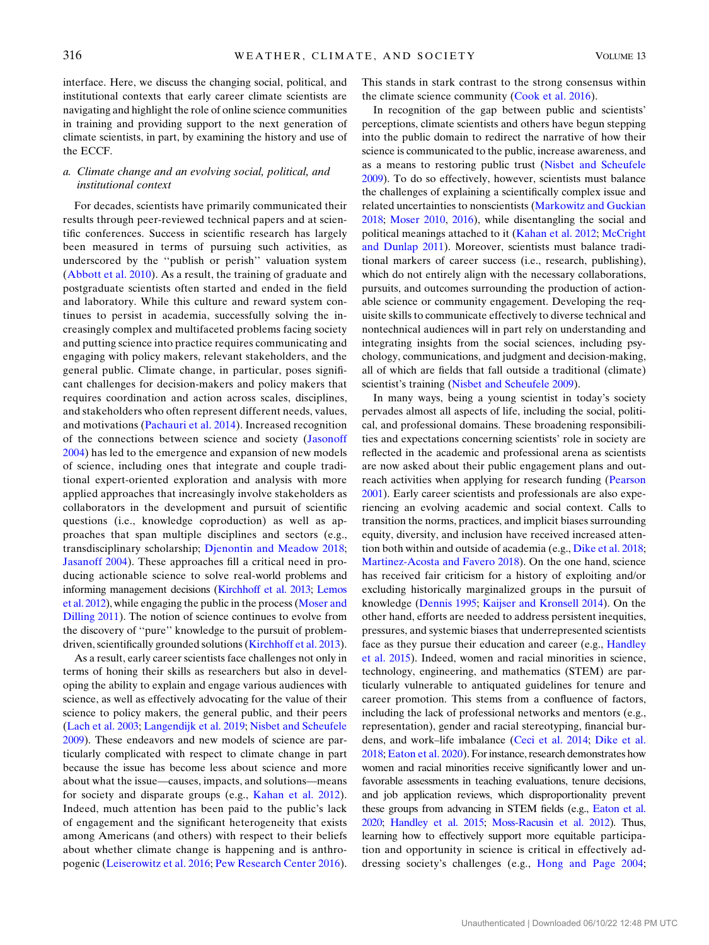interface. Here, we discuss the changing social, political, and institutional contexts that early career climate scientists are navigating and highlight the role of online science communities in training and providing support to the next generation of climate scientists, in part, by examining the history and use of the ECCF.

## a. Climate change and an evolving social, political, and institutional context

For decades, scientists have primarily communicated their results through peer-reviewed technical papers and at scientific conferences. Success in scientific research has largely been measured in terms of pursuing such activities, as underscored by the ''publish or perish'' valuation system ([Abbott et al. 2010\)](#page-8-0). As a result, the training of graduate and postgraduate scientists often started and ended in the field and laboratory. While this culture and reward system continues to persist in academia, successfully solving the increasingly complex and multifaceted problems facing society and putting science into practice requires communicating and engaging with policy makers, relevant stakeholders, and the general public. Climate change, in particular, poses significant challenges for decision-makers and policy makers that requires coordination and action across scales, disciplines, and stakeholders who often represent different needs, values, and motivations ([Pachauri et al. 2014\)](#page-10-3). Increased recognition of the connections between science and society ([Jasonoff](#page-9-0) [2004\)](#page-9-0) has led to the emergence and expansion of new models of science, including ones that integrate and couple traditional expert-oriented exploration and analysis with more applied approaches that increasingly involve stakeholders as collaborators in the development and pursuit of scientific questions (i.e., knowledge coproduction) as well as approaches that span multiple disciplines and sectors (e.g., transdisciplinary scholarship; [Djenontin and Meadow 2018](#page-9-9); [Jasanoff 2004\)](#page-9-0). These approaches fill a critical need in producing actionable science to solve real-world problems and informing management decisions [\(Kirchhoff et al. 2013](#page-9-10); [Lemos](#page-9-11) [et al. 2012\)](#page-9-11), while engaging the public in the process ([Moser and](#page-10-5) [Dilling 2011](#page-10-5)). The notion of science continues to evolve from the discovery of ''pure'' knowledge to the pursuit of problemdriven, scientifically grounded solutions ([Kirchhoff et al. 2013](#page-9-10)).

As a result, early career scientists face challenges not only in terms of honing their skills as researchers but also in developing the ability to explain and engage various audiences with science, as well as effectively advocating for the value of their science to policy makers, the general public, and their peers ([Lach et al. 2003;](#page-9-12) [Langendijk et al. 2019;](#page-9-8) [Nisbet and Scheufele](#page-10-2) [2009](#page-10-2)). These endeavors and new models of science are particularly complicated with respect to climate change in part because the issue has become less about science and more about what the issue—causes, impacts, and solutions—means for society and disparate groups (e.g., [Kahan et al. 2012](#page-9-13)). Indeed, much attention has been paid to the public's lack of engagement and the significant heterogeneity that exists among Americans (and others) with respect to their beliefs about whether climate change is happening and is anthropogenic ([Leiserowitz et al. 2016](#page-9-14); [Pew Research Center 2016](#page-10-6)).

This stands in stark contrast to the strong consensus within the climate science community [\(Cook et al. 2016\)](#page-9-15).

In recognition of the gap between public and scientists' perceptions, climate scientists and others have begun stepping into the public domain to redirect the narrative of how their science is communicated to the public, increase awareness, and as a means to restoring public trust [\(Nisbet and Scheufele](#page-10-2) [2009](#page-10-2)). To do so effectively, however, scientists must balance the challenges of explaining a scientifically complex issue and related uncertainties to nonscientists ([Markowitz and Guckian](#page-9-16) [2018](#page-9-16); [Moser 2010](#page-9-17), [2016\)](#page-10-7), while disentangling the social and political meanings attached to it ([Kahan et al. 2012;](#page-9-13) [McCright](#page-9-6) [and Dunlap 2011](#page-9-6)). Moreover, scientists must balance traditional markers of career success (i.e., research, publishing), which do not entirely align with the necessary collaborations, pursuits, and outcomes surrounding the production of actionable science or community engagement. Developing the requisite skills to communicate effectively to diverse technical and nontechnical audiences will in part rely on understanding and integrating insights from the social sciences, including psychology, communications, and judgment and decision-making, all of which are fields that fall outside a traditional (climate) scientist's training [\(Nisbet and Scheufele 2009\)](#page-10-2).

In many ways, being a young scientist in today's society pervades almost all aspects of life, including the social, political, and professional domains. These broadening responsibilities and expectations concerning scientists' role in society are reflected in the academic and professional arena as scientists are now asked about their public engagement plans and outreach activities when applying for research funding [\(Pearson](#page-10-8) [2001](#page-10-8)). Early career scientists and professionals are also experiencing an evolving academic and social context. Calls to transition the norms, practices, and implicit biases surrounding equity, diversity, and inclusion have received increased attention both within and outside of academia (e.g., [Dike et al. 2018](#page-9-4); [Martinez-Acosta and Favero 2018](#page-9-18)). On the one hand, science has received fair criticism for a history of exploiting and/or excluding historically marginalized groups in the pursuit of knowledge [\(Dennis 1995](#page-9-19); [Kaijser and Kronsell 2014](#page-9-20)). On the other hand, efforts are needed to address persistent inequities, pressures, and systemic biases that underrepresented scientists face as they pursue their education and career (e.g., [Handley](#page-9-21) [et al. 2015](#page-9-21)). Indeed, women and racial minorities in science, technology, engineering, and mathematics (STEM) are particularly vulnerable to antiquated guidelines for tenure and career promotion. This stems from a confluence of factors, including the lack of professional networks and mentors (e.g., representation), gender and racial stereotyping, financial burdens, and work–life imbalance [\(Ceci et al. 2014](#page-9-22); [Dike et al.](#page-9-4) [2018](#page-9-4); [Eaton et al. 2020](#page-9-23)). For instance, research demonstrates how women and racial minorities receive significantly lower and unfavorable assessments in teaching evaluations, tenure decisions, and job application reviews, which disproportionality prevent these groups from advancing in STEM fields (e.g., [Eaton et al.](#page-9-23) [2020;](#page-9-23) [Handley et al. 2015;](#page-9-21) [Moss-Racusin et al. 2012\)](#page-10-9). Thus, learning how to effectively support more equitable participation and opportunity in science is critical in effectively addressing society's challenges (e.g., [Hong and Page 2004](#page-9-24);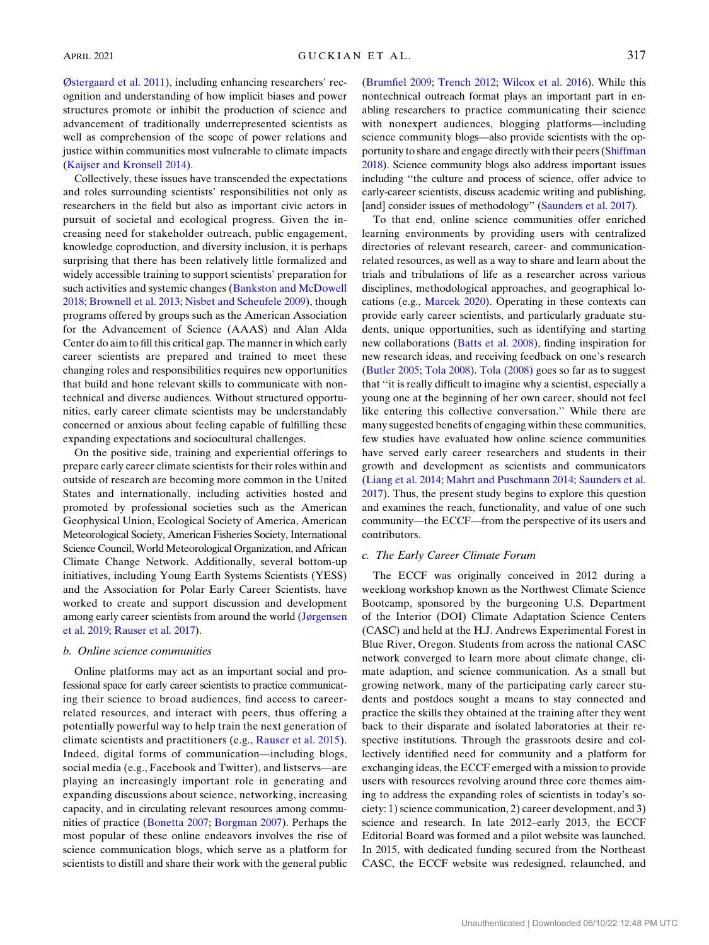Ø[stergaard et al. 2011](#page-10-10)), including enhancing researchers' recognition and understanding of how implicit biases and power structures promote or inhibit the production of science and advancement of traditionally underrepresented scientists as well as comprehension of the scope of power relations and justice within communities most vulnerable to climate impacts ([Kaijser and Kronsell 2014](#page-9-20)).

Collectively, these issues have transcended the expectations and roles surrounding scientists' responsibilities not only as researchers in the field but also as important civic actors in pursuit of societal and ecological progress. Given the increasing need for stakeholder outreach, public engagement, knowledge coproduction, and diversity inclusion, it is perhaps surprising that there has been relatively little formalized and widely accessible training to support scientists' preparation for such activities and systemic changes [\(Bankston and McDowell](#page-8-1) [2018](#page-8-1); [Brownell et al. 2013;](#page-9-25) [Nisbet and Scheufele 2009](#page-10-2)), though programs offered by groups such as the American Association for the Advancement of Science (AAAS) and Alan Alda Center do aim to fill this critical gap. The manner in which early career scientists are prepared and trained to meet these changing roles and responsibilities requires new opportunities that build and hone relevant skills to communicate with nontechnical and diverse audiences. Without structured opportunities, early career climate scientists may be understandably concerned or anxious about feeling capable of fulfilling these expanding expectations and sociocultural challenges.

On the positive side, training and experiential offerings to prepare early career climate scientists for their roles within and outside of research are becoming more common in the United States and internationally, including activities hosted and promoted by professional societies such as the American Geophysical Union, Ecological Society of America, American Meteorological Society, American Fisheries Society, International Science Council, World Meteorological Organization, and African Climate Change Network. Additionally, several bottom-up initiatives, including Young Earth Systems Scientists (YESS) and the Association for Polar Early Career Scientists, have worked to create and support discussion and development among early career scientists from around the world (Jø[rgensen](#page-9-5) [et al. 2019;](#page-9-5) [Rauser et al. 2017\)](#page-10-11).

### b. Online science communities

Online platforms may act as an important social and professional space for early career scientists to practice communicating their science to broad audiences, find access to careerrelated resources, and interact with peers, thus offering a potentially powerful way to help train the next generation of climate scientists and practitioners (e.g., [Rauser et al. 2015](#page-10-12)). Indeed, digital forms of communication—including blogs, social media (e.g., Facebook and Twitter), and listservs—are playing an increasingly important role in generating and expanding discussions about science, networking, increasing capacity, and in circulating relevant resources among communities of practice ([Bonetta 2007;](#page-8-2) [Borgman 2007](#page-9-26)). Perhaps the most popular of these online endeavors involves the rise of science communication blogs, which serve as a platform for scientists to distill and share their work with the general public ([Brumfiel 2009](#page-9-27); [Trench 2012;](#page-10-13) [Wilcox et al. 2016\)](#page-10-14). While this nontechnical outreach format plays an important part in enabling researchers to practice communicating their science with nonexpert audiences, blogging platforms—including science community blogs—also provide scientists with the opportunity to share and engage directly with their peers [\(Shiffman](#page-10-15) [2018](#page-10-15)). Science community blogs also address important issues including ''the culture and process of science, offer advice to early-career scientists, discuss academic writing and publishing, [and] consider issues of methodology" [\(Saunders et al. 2017\)](#page-10-16).

To that end, online science communities offer enriched learning environments by providing users with centralized directories of relevant research, career- and communicationrelated resources, as well as a way to share and learn about the trials and tribulations of life as a researcher across various disciplines, methodological approaches, and geographical locations (e.g., [Marcek 2020](#page-9-28)). Operating in these contexts can provide early career scientists, and particularly graduate students, unique opportunities, such as identifying and starting new collaborations ([Batts et al. 2008\)](#page-8-3), finding inspiration for new research ideas, and receiving feedback on one's research ([Butler 2005](#page-9-29); [Tola 2008](#page-10-17)). [Tola \(2008\)](#page-10-17) goes so far as to suggest that ''it is really difficult to imagine why a scientist, especially a young one at the beginning of her own career, should not feel like entering this collective conversation.'' While there are many suggested benefits of engaging within these communities, few studies have evaluated how online science communities have served early career researchers and students in their growth and development as scientists and communicators ([Liang et al. 2014;](#page-9-30) [Mahrt and Puschmann 2014;](#page-9-31) [Saunders et al.](#page-10-16) [2017](#page-10-16)). Thus, the present study begins to explore this question and examines the reach, functionality, and value of one such community—the ECCF—from the perspective of its users and contributors.

## c. The Early Career Climate Forum

The ECCF was originally conceived in 2012 during a weeklong workshop known as the Northwest Climate Science Bootcamp, sponsored by the burgeoning U.S. Department of the Interior (DOI) Climate Adaptation Science Centers (CASC) and held at the H.J. Andrews Experimental Forest in Blue River, Oregon. Students from across the national CASC network converged to learn more about climate change, climate adaption, and science communication. As a small but growing network, many of the participating early career students and postdocs sought a means to stay connected and practice the skills they obtained at the training after they went back to their disparate and isolated laboratories at their respective institutions. Through the grassroots desire and collectively identified need for community and a platform for exchanging ideas, the ECCF emerged with a mission to provide users with resources revolving around three core themes aiming to address the expanding roles of scientists in today's society: 1) science communication, 2) career development, and 3) science and research. In late 2012–early 2013, the ECCF Editorial Board was formed and a pilot website was launched. In 2015, with dedicated funding secured from the Northeast CASC, the ECCF website was redesigned, relaunched, and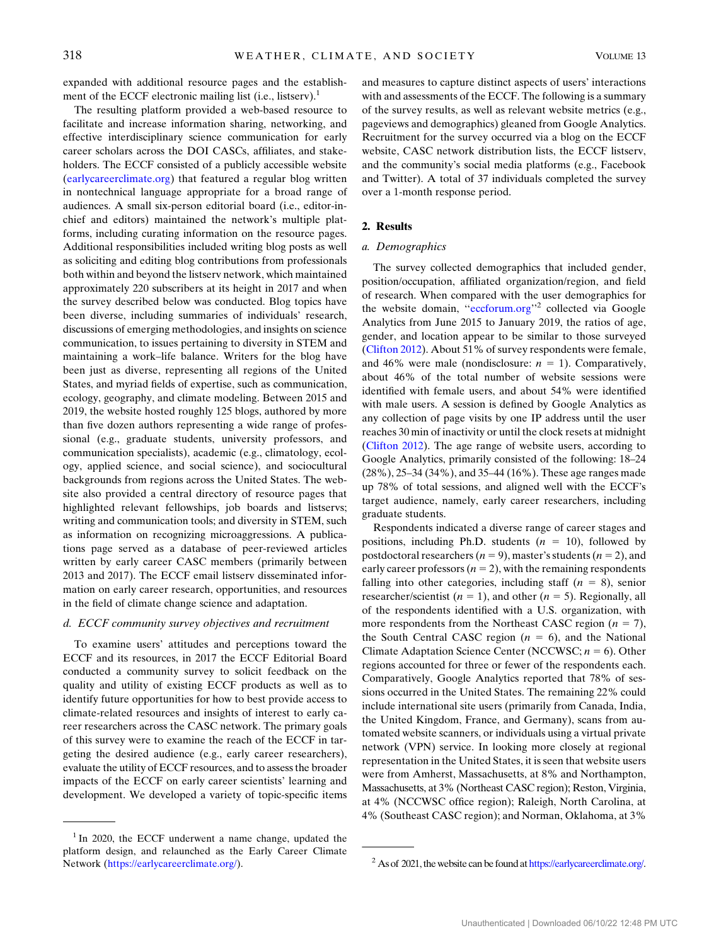expanded with additional resource pages and the establishment of the ECCF electronic mailing list  $(i.e., listserv).<sup>1</sup>$ 

The resulting platform provided a web-based resource to facilitate and increase information sharing, networking, and effective interdisciplinary science communication for early career scholars across the DOI CASCs, affiliates, and stakeholders. The ECCF consisted of a publicly accessible website ([earlycareerclimate.org](http://earlycareerclimate.org)) that featured a regular blog written in nontechnical language appropriate for a broad range of audiences. A small six-person editorial board (i.e., editor-inchief and editors) maintained the network's multiple platforms, including curating information on the resource pages. Additional responsibilities included writing blog posts as well as soliciting and editing blog contributions from professionals both within and beyond the listserv network, which maintained approximately 220 subscribers at its height in 2017 and when the survey described below was conducted. Blog topics have been diverse, including summaries of individuals' research, discussions of emerging methodologies, and insights on science communication, to issues pertaining to diversity in STEM and maintaining a work–life balance. Writers for the blog have been just as diverse, representing all regions of the United States, and myriad fields of expertise, such as communication, ecology, geography, and climate modeling. Between 2015 and 2019, the website hosted roughly 125 blogs, authored by more than five dozen authors representing a wide range of professional (e.g., graduate students, university professors, and communication specialists), academic (e.g., climatology, ecology, applied science, and social science), and sociocultural backgrounds from regions across the United States. The website also provided a central directory of resource pages that highlighted relevant fellowships, job boards and listservs; writing and communication tools; and diversity in STEM, such as information on recognizing microaggressions. A publications page served as a database of peer-reviewed articles written by early career CASC members (primarily between 2013 and 2017). The ECCF email listserv disseminated information on early career research, opportunities, and resources in the field of climate change science and adaptation.

## d. ECCF community survey objectives and recruitment

To examine users' attitudes and perceptions toward the ECCF and its resources, in 2017 the ECCF Editorial Board conducted a community survey to solicit feedback on the quality and utility of existing ECCF products as well as to identify future opportunities for how to best provide access to climate-related resources and insights of interest to early career researchers across the CASC network. The primary goals of this survey were to examine the reach of the ECCF in targeting the desired audience (e.g., early career researchers), evaluate the utility of ECCF resources, and to assess the broader impacts of the ECCF on early career scientists' learning and development. We developed a variety of topic-specific items and measures to capture distinct aspects of users' interactions with and assessments of the ECCF. The following is a summary of the survey results, as well as relevant website metrics (e.g., pageviews and demographics) gleaned from Google Analytics. Recruitment for the survey occurred via a blog on the ECCF website, CASC network distribution lists, the ECCF listserv, and the community's social media platforms (e.g., Facebook and Twitter). A total of 37 individuals completed the survey over a 1-month response period.

### 2. Results

## a. Demographics

The survey collected demographics that included gender, position/occupation, affiliated organization/region, and field of research. When compared with the user demographics for the website domain, "eccforum.org"<sup>2</sup> collected via Google Analytics from June 2015 to January 2019, the ratios of age, gender, and location appear to be similar to those surveyed ([Clifton 2012](#page-9-32)). About 51% of survey respondents were female, and 46% were male (nondisclosure:  $n = 1$ ). Comparatively, about 46% of the total number of website sessions were identified with female users, and about 54% were identified with male users. A session is defined by Google Analytics as any collection of page visits by one IP address until the user reaches 30 min of inactivity or until the clock resets at midnight ([Clifton 2012\)](#page-9-32). The age range of website users, according to Google Analytics, primarily consisted of the following: 18–24 (28%), 25–34 (34%), and 35–44 (16%). These age ranges made up 78% of total sessions, and aligned well with the ECCF's target audience, namely, early career researchers, including graduate students.

Respondents indicated a diverse range of career stages and positions, including Ph.D. students  $(n = 10)$ , followed by postdoctoral researchers ( $n = 9$ ), master's students ( $n = 2$ ), and early career professors ( $n = 2$ ), with the remaining respondents falling into other categories, including staff  $(n = 8)$ , senior researcher/scientist ( $n = 1$ ), and other ( $n = 5$ ). Regionally, all of the respondents identified with a U.S. organization, with more respondents from the Northeast CASC region  $(n = 7)$ , the South Central CASC region  $(n = 6)$ , and the National Climate Adaptation Science Center (NCCWSC;  $n = 6$ ). Other regions accounted for three or fewer of the respondents each. Comparatively, Google Analytics reported that 78% of sessions occurred in the United States. The remaining 22% could include international site users (primarily from Canada, India, the United Kingdom, France, and Germany), scans from automated website scanners, or individuals using a virtual private network (VPN) service. In looking more closely at regional representation in the United States, it is seen that website users were from Amherst, Massachusetts, at 8% and Northampton, Massachusetts, at 3% (Northeast CASC region); Reston, Virginia, at 4% (NCCWSC office region); Raleigh, North Carolina, at 4% (Southeast CASC region); and Norman, Oklahoma, at 3%

 $1$ In 2020, the ECCF underwent a name change, updated the platform design, and relaunched as the Early Career Climate Network [\(https://earlycareerclimate.org/](https://earlycareerclimate.org/)). <sup>2</sup> As of 2021, the website can be found at [https://earlycareerclimate.org/.](https://earlycareerclimate.org/)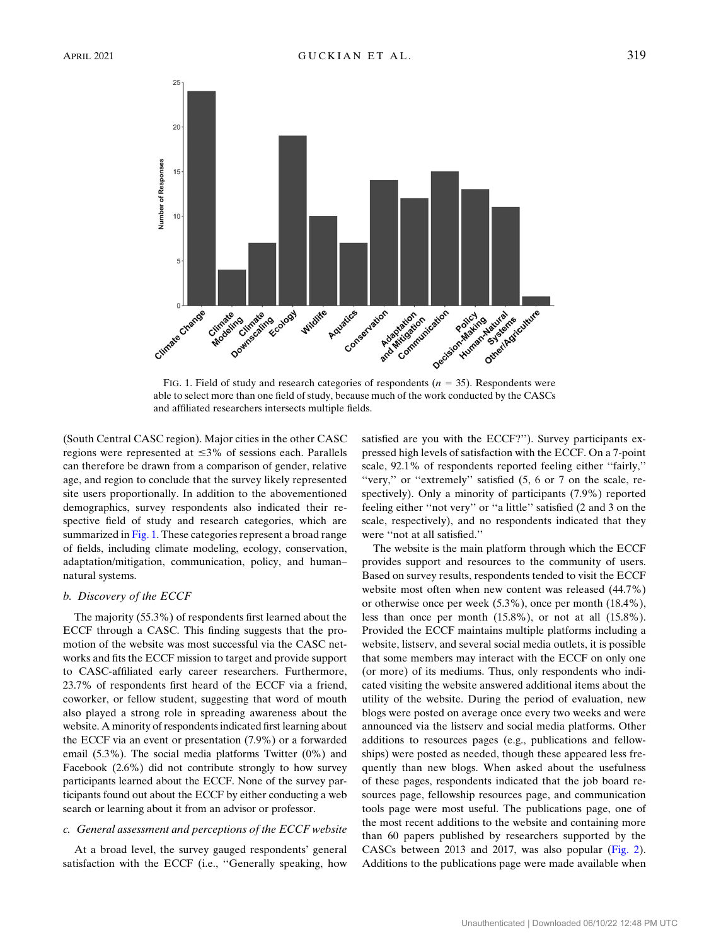<span id="page-4-0"></span>

FIG. 1. Field of study and research categories of respondents ( $n = 35$ ). Respondents were able to select more than one field of study, because much of the work conducted by the CASCs and affiliated researchers intersects multiple fields.

(South Central CASC region). Major cities in the other CASC regions were represented at  $\leq$ 3% of sessions each. Parallels can therefore be drawn from a comparison of gender, relative age, and region to conclude that the survey likely represented site users proportionally. In addition to the abovementioned demographics, survey respondents also indicated their respective field of study and research categories, which are summarized in [Fig. 1](#page-4-0). These categories represent a broad range of fields, including climate modeling, ecology, conservation, adaptation/mitigation, communication, policy, and human– natural systems.

#### b. Discovery of the ECCF

The majority (55.3%) of respondents first learned about the ECCF through a CASC. This finding suggests that the promotion of the website was most successful via the CASC networks and fits the ECCF mission to target and provide support to CASC-affiliated early career researchers. Furthermore, 23.7% of respondents first heard of the ECCF via a friend, coworker, or fellow student, suggesting that word of mouth also played a strong role in spreading awareness about the website. A minority of respondents indicated first learning about the ECCF via an event or presentation (7.9%) or a forwarded email (5.3%). The social media platforms Twitter (0%) and Facebook (2.6%) did not contribute strongly to how survey participants learned about the ECCF. None of the survey participants found out about the ECCF by either conducting a web search or learning about it from an advisor or professor.

### c. General assessment and perceptions of the ECCF website

At a broad level, the survey gauged respondents' general satisfaction with the ECCF (i.e., ''Generally speaking, how satisfied are you with the ECCF?''). Survey participants expressed high levels of satisfaction with the ECCF. On a 7-point scale, 92.1% of respondents reported feeling either ''fairly,'' "very," or "extremely" satisfied  $(5, 6 \text{ or } 7 \text{ on the scale, re-}$ spectively). Only a minority of participants (7.9%) reported feeling either ''not very'' or ''a little'' satisfied (2 and 3 on the scale, respectively), and no respondents indicated that they were ''not at all satisfied.''

The website is the main platform through which the ECCF provides support and resources to the community of users. Based on survey results, respondents tended to visit the ECCF website most often when new content was released (44.7%) or otherwise once per week (5.3%), once per month (18.4%), less than once per month (15.8%), or not at all (15.8%). Provided the ECCF maintains multiple platforms including a website, listserv, and several social media outlets, it is possible that some members may interact with the ECCF on only one (or more) of its mediums. Thus, only respondents who indicated visiting the website answered additional items about the utility of the website. During the period of evaluation, new blogs were posted on average once every two weeks and were announced via the listserv and social media platforms. Other additions to resources pages (e.g., publications and fellowships) were posted as needed, though these appeared less frequently than new blogs. When asked about the usefulness of these pages, respondents indicated that the job board resources page, fellowship resources page, and communication tools page were most useful. The publications page, one of the most recent additions to the website and containing more than 60 papers published by researchers supported by the CASCs between 2013 and 2017, was also popular [\(Fig. 2](#page-5-0)). Additions to the publications page were made available when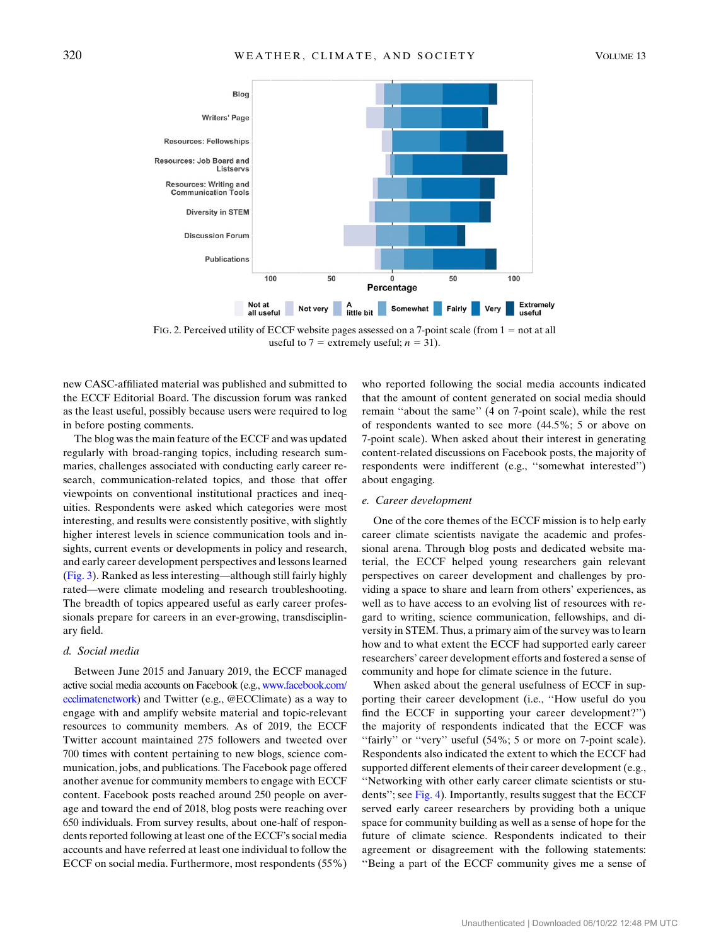<span id="page-5-0"></span>

FIG. 2. Perceived utility of ECCF website pages assessed on a 7-point scale (from  $1 = not$  at all useful to 7 = extremely useful;  $n = 31$ ).

new CASC-affiliated material was published and submitted to the ECCF Editorial Board. The discussion forum was ranked as the least useful, possibly because users were required to log in before posting comments.

The blog was the main feature of the ECCF and was updated regularly with broad-ranging topics, including research summaries, challenges associated with conducting early career research, communication-related topics, and those that offer viewpoints on conventional institutional practices and inequities. Respondents were asked which categories were most interesting, and results were consistently positive, with slightly higher interest levels in science communication tools and insights, current events or developments in policy and research, and early career development perspectives and lessons learned ([Fig. 3\)](#page-6-0). Ranked as less interesting—although still fairly highly rated—were climate modeling and research troubleshooting. The breadth of topics appeared useful as early career professionals prepare for careers in an ever-growing, transdisciplinary field.

### d. Social media

Between June 2015 and January 2019, the ECCF managed active social media accounts on Facebook (e.g., [www.facebook.com/](http://www.facebook.com/ecclimatenetwork) [ecclimatenetwork](http://www.facebook.com/ecclimatenetwork)) and Twitter (e.g., @ECClimate) as a way to engage with and amplify website material and topic-relevant resources to community members. As of 2019, the ECCF Twitter account maintained 275 followers and tweeted over 700 times with content pertaining to new blogs, science communication, jobs, and publications. The Facebook page offered another avenue for community members to engage with ECCF content. Facebook posts reached around 250 people on average and toward the end of 2018, blog posts were reaching over 650 individuals. From survey results, about one-half of respondents reported following at least one of the ECCF's social media accounts and have referred at least one individual to follow the ECCF on social media. Furthermore, most respondents (55%) who reported following the social media accounts indicated that the amount of content generated on social media should remain ''about the same'' (4 on 7-point scale), while the rest of respondents wanted to see more (44.5%; 5 or above on 7-point scale). When asked about their interest in generating content-related discussions on Facebook posts, the majority of respondents were indifferent (e.g., ''somewhat interested'') about engaging.

### e. Career development

One of the core themes of the ECCF mission is to help early career climate scientists navigate the academic and professional arena. Through blog posts and dedicated website material, the ECCF helped young researchers gain relevant perspectives on career development and challenges by providing a space to share and learn from others' experiences, as well as to have access to an evolving list of resources with regard to writing, science communication, fellowships, and diversity in STEM. Thus, a primary aim of the survey was to learn how and to what extent the ECCF had supported early career researchers' career development efforts and fostered a sense of community and hope for climate science in the future.

When asked about the general usefulness of ECCF in supporting their career development (i.e., ''How useful do you find the ECCF in supporting your career development?'') the majority of respondents indicated that the ECCF was "fairly" or "very" useful (54%; 5 or more on 7-point scale). Respondents also indicated the extent to which the ECCF had supported different elements of their career development (e.g., ''Networking with other early career climate scientists or students''; see [Fig. 4](#page-6-1)). Importantly, results suggest that the ECCF served early career researchers by providing both a unique space for community building as well as a sense of hope for the future of climate science. Respondents indicated to their agreement or disagreement with the following statements: ''Being a part of the ECCF community gives me a sense of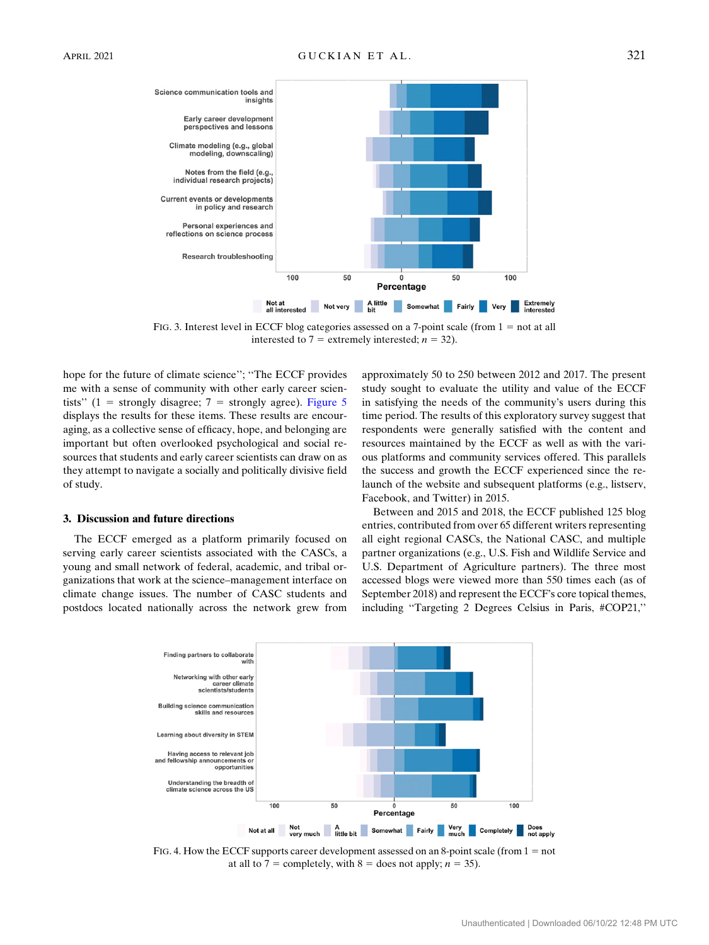<span id="page-6-0"></span>

FIG. 3. Interest level in ECCF blog categories assessed on a 7-point scale (from  $1 = not$  at all interested to  $7$  = extremely interested;  $n = 32$ ).

hope for the future of climate science''; ''The ECCF provides me with a sense of community with other early career scientists" (1 = strongly disagree;  $7$  = strongly agree). [Figure 5](#page-7-0) displays the results for these items. These results are encouraging, as a collective sense of efficacy, hope, and belonging are important but often overlooked psychological and social resources that students and early career scientists can draw on as they attempt to navigate a socially and politically divisive field of study.

#### 3. Discussion and future directions

The ECCF emerged as a platform primarily focused on serving early career scientists associated with the CASCs, a young and small network of federal, academic, and tribal organizations that work at the science–management interface on climate change issues. The number of CASC students and postdocs located nationally across the network grew from approximately 50 to 250 between 2012 and 2017. The present study sought to evaluate the utility and value of the ECCF in satisfying the needs of the community's users during this time period. The results of this exploratory survey suggest that respondents were generally satisfied with the content and resources maintained by the ECCF as well as with the various platforms and community services offered. This parallels the success and growth the ECCF experienced since the relaunch of the website and subsequent platforms (e.g., listserv, Facebook, and Twitter) in 2015.

Between and 2015 and 2018, the ECCF published 125 blog entries, contributed from over 65 different writers representing all eight regional CASCs, the National CASC, and multiple partner organizations (e.g., U.S. Fish and Wildlife Service and U.S. Department of Agriculture partners). The three most accessed blogs were viewed more than 550 times each (as of September 2018) and represent the ECCF's core topical themes, including ''Targeting 2 Degrees Celsius in Paris, #COP21,''

<span id="page-6-1"></span>

FIG. 4. How the ECCF supports career development assessed on an 8-point scale (from  $1 = not$ at all to 7 = completely, with 8 = does not apply;  $n = 35$ ).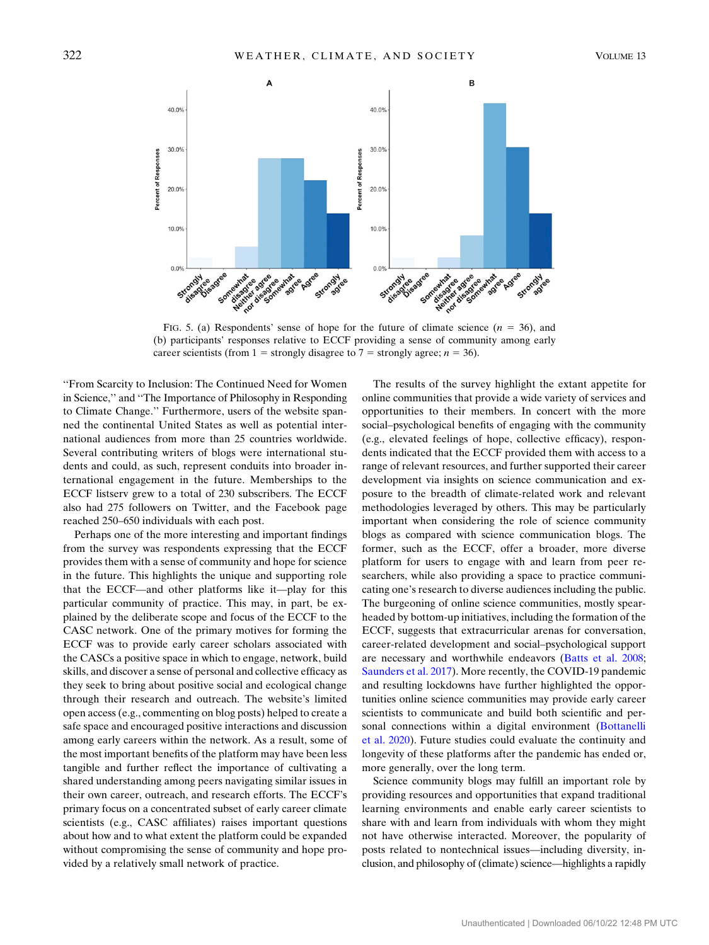<span id="page-7-0"></span>

FIG. 5. (a) Respondents' sense of hope for the future of climate science  $(n = 36)$ , and (b) participants' responses relative to ECCF providing a sense of community among early career scientists (from 1 = strongly disagree to 7 = strongly agree;  $n = 36$ ).

''From Scarcity to Inclusion: The Continued Need for Women in Science,'' and ''The Importance of Philosophy in Responding to Climate Change.'' Furthermore, users of the website spanned the continental United States as well as potential international audiences from more than 25 countries worldwide. Several contributing writers of blogs were international students and could, as such, represent conduits into broader international engagement in the future. Memberships to the ECCF listserv grew to a total of 230 subscribers. The ECCF also had 275 followers on Twitter, and the Facebook page reached 250–650 individuals with each post.

Perhaps one of the more interesting and important findings from the survey was respondents expressing that the ECCF provides them with a sense of community and hope for science in the future. This highlights the unique and supporting role that the ECCF—and other platforms like it—play for this particular community of practice. This may, in part, be explained by the deliberate scope and focus of the ECCF to the CASC network. One of the primary motives for forming the ECCF was to provide early career scholars associated with the CASCs a positive space in which to engage, network, build skills, and discover a sense of personal and collective efficacy as they seek to bring about positive social and ecological change through their research and outreach. The website's limited open access (e.g., commenting on blog posts) helped to create a safe space and encouraged positive interactions and discussion among early careers within the network. As a result, some of the most important benefits of the platform may have been less tangible and further reflect the importance of cultivating a shared understanding among peers navigating similar issues in their own career, outreach, and research efforts. The ECCF's primary focus on a concentrated subset of early career climate scientists (e.g., CASC affiliates) raises important questions about how and to what extent the platform could be expanded without compromising the sense of community and hope provided by a relatively small network of practice.

The results of the survey highlight the extant appetite for online communities that provide a wide variety of services and opportunities to their members. In concert with the more social–psychological benefits of engaging with the community (e.g., elevated feelings of hope, collective efficacy), respondents indicated that the ECCF provided them with access to a range of relevant resources, and further supported their career development via insights on science communication and exposure to the breadth of climate-related work and relevant methodologies leveraged by others. This may be particularly important when considering the role of science community blogs as compared with science communication blogs. The former, such as the ECCF, offer a broader, more diverse platform for users to engage with and learn from peer researchers, while also providing a space to practice communicating one's research to diverse audiences including the public. The burgeoning of online science communities, mostly spearheaded by bottom-up initiatives, including the formation of the ECCF, suggests that extracurricular arenas for conversation, career-related development and social–psychological support are necessary and worthwhile endeavors [\(Batts et al. 2008](#page-8-3); [Saunders et al. 2017](#page-10-16)). More recently, the COVID-19 pandemic and resulting lockdowns have further highlighted the opportunities online science communities may provide early career scientists to communicate and build both scientific and per-sonal connections within a digital environment ([Bottanelli](#page-9-33) [et al. 2020\)](#page-9-33). Future studies could evaluate the continuity and longevity of these platforms after the pandemic has ended or, more generally, over the long term.

Science community blogs may fulfill an important role by providing resources and opportunities that expand traditional learning environments and enable early career scientists to share with and learn from individuals with whom they might not have otherwise interacted. Moreover, the popularity of posts related to nontechnical issues—including diversity, inclusion, and philosophy of (climate) science—highlights a rapidly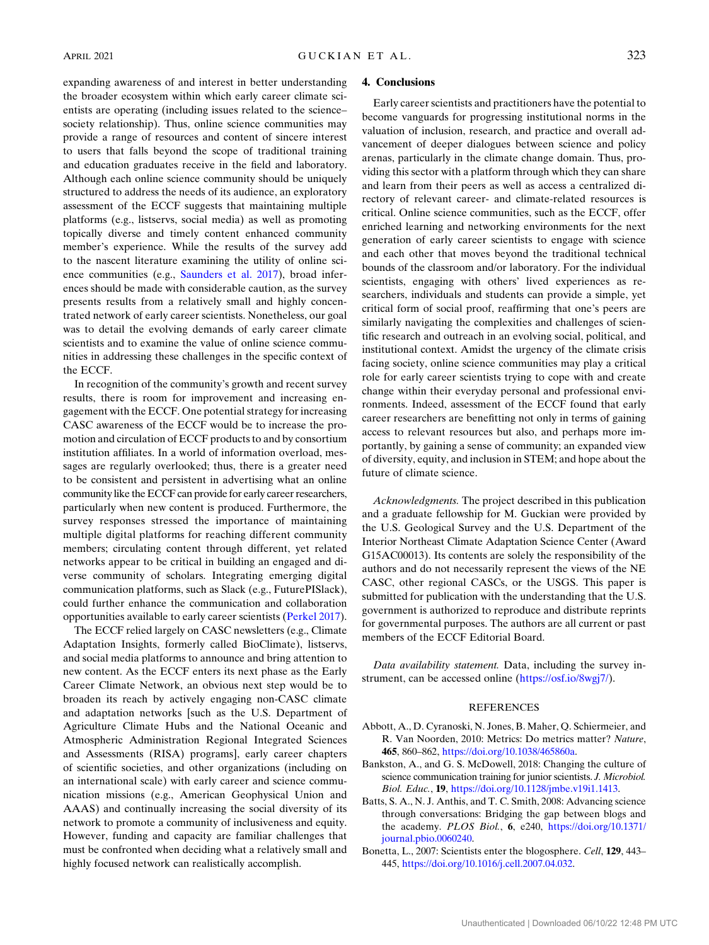expanding awareness of and interest in better understanding the broader ecosystem within which early career climate scientists are operating (including issues related to the science– society relationship). Thus, online science communities may provide a range of resources and content of sincere interest to users that falls beyond the scope of traditional training and education graduates receive in the field and laboratory. Although each online science community should be uniquely structured to address the needs of its audience, an exploratory assessment of the ECCF suggests that maintaining multiple platforms (e.g., listservs, social media) as well as promoting topically diverse and timely content enhanced community member's experience. While the results of the survey add to the nascent literature examining the utility of online science communities (e.g., [Saunders et al. 2017\)](#page-10-16), broad inferences should be made with considerable caution, as the survey presents results from a relatively small and highly concentrated network of early career scientists. Nonetheless, our goal was to detail the evolving demands of early career climate scientists and to examine the value of online science communities in addressing these challenges in the specific context of the ECCF.

In recognition of the community's growth and recent survey results, there is room for improvement and increasing engagement with the ECCF. One potential strategy for increasing CASC awareness of the ECCF would be to increase the promotion and circulation of ECCF products to and by consortium institution affiliates. In a world of information overload, messages are regularly overlooked; thus, there is a greater need to be consistent and persistent in advertising what an online community like the ECCF can provide for early career researchers, particularly when new content is produced. Furthermore, the survey responses stressed the importance of maintaining multiple digital platforms for reaching different community members; circulating content through different, yet related networks appear to be critical in building an engaged and diverse community of scholars. Integrating emerging digital communication platforms, such as Slack (e.g., FuturePISlack), could further enhance the communication and collaboration opportunities available to early career scientists [\(Perkel 2017](#page-10-18)).

The ECCF relied largely on CASC newsletters (e.g., Climate Adaptation Insights, formerly called BioClimate), listservs, and social media platforms to announce and bring attention to new content. As the ECCF enters its next phase as the Early Career Climate Network, an obvious next step would be to broaden its reach by actively engaging non-CASC climate and adaptation networks [such as the U.S. Department of Agriculture Climate Hubs and the National Oceanic and Atmospheric Administration Regional Integrated Sciences and Assessments (RISA) programs], early career chapters of scientific societies, and other organizations (including on an international scale) with early career and science communication missions (e.g., American Geophysical Union and AAAS) and continually increasing the social diversity of its network to promote a community of inclusiveness and equity. However, funding and capacity are familiar challenges that must be confronted when deciding what a relatively small and highly focused network can realistically accomplish.

#### 4. Conclusions

Early career scientists and practitioners have the potential to become vanguards for progressing institutional norms in the valuation of inclusion, research, and practice and overall advancement of deeper dialogues between science and policy arenas, particularly in the climate change domain. Thus, providing this sector with a platform through which they can share and learn from their peers as well as access a centralized directory of relevant career- and climate-related resources is critical. Online science communities, such as the ECCF, offer enriched learning and networking environments for the next generation of early career scientists to engage with science and each other that moves beyond the traditional technical bounds of the classroom and/or laboratory. For the individual scientists, engaging with others' lived experiences as researchers, individuals and students can provide a simple, yet critical form of social proof, reaffirming that one's peers are similarly navigating the complexities and challenges of scientific research and outreach in an evolving social, political, and institutional context. Amidst the urgency of the climate crisis facing society, online science communities may play a critical role for early career scientists trying to cope with and create change within their everyday personal and professional environments. Indeed, assessment of the ECCF found that early career researchers are benefitting not only in terms of gaining access to relevant resources but also, and perhaps more importantly, by gaining a sense of community; an expanded view of diversity, equity, and inclusion in STEM; and hope about the future of climate science.

Acknowledgments. The project described in this publication and a graduate fellowship for M. Guckian were provided by the U.S. Geological Survey and the U.S. Department of the Interior Northeast Climate Adaptation Science Center (Award G15AC00013). Its contents are solely the responsibility of the authors and do not necessarily represent the views of the NE CASC, other regional CASCs, or the USGS. This paper is submitted for publication with the understanding that the U.S. government is authorized to reproduce and distribute reprints for governmental purposes. The authors are all current or past members of the ECCF Editorial Board.

Data availability statement. Data, including the survey instrument, can be accessed online ([https://osf.io/8wgj7/\)](https://osf.io/8wgj7/).

## **REFERENCES**

- <span id="page-8-0"></span>Abbott, A., D. Cyranoski, N. Jones, B. Maher, Q. Schiermeier, and R. Van Noorden, 2010: Metrics: Do metrics matter? Nature, 465, 860–862, [https://doi.org/10.1038/465860a.](https://doi.org/10.1038/465860a)
- <span id="page-8-1"></span>Bankston, A., and G. S. McDowell, 2018: Changing the culture of science communication training for junior scientists. J. Microbiol. Biol. Educ., 19, <https://doi.org/10.1128/jmbe.v19i1.1413>.
- <span id="page-8-3"></span>Batts, S. A., N. J. Anthis, and T. C. Smith, 2008: Advancing science through conversations: Bridging the gap between blogs and the academy. PLOS Biol., 6, e240, [https://doi.org/10.1371/](https://doi.org/10.1371/journal.pbio.0060240) [journal.pbio.0060240](https://doi.org/10.1371/journal.pbio.0060240).
- <span id="page-8-2"></span>Bonetta, L., 2007: Scientists enter the blogosphere. Cell, 129, 443– 445, [https://doi.org/10.1016/j.cell.2007.04.032.](https://doi.org/10.1016/j.cell.2007.04.032)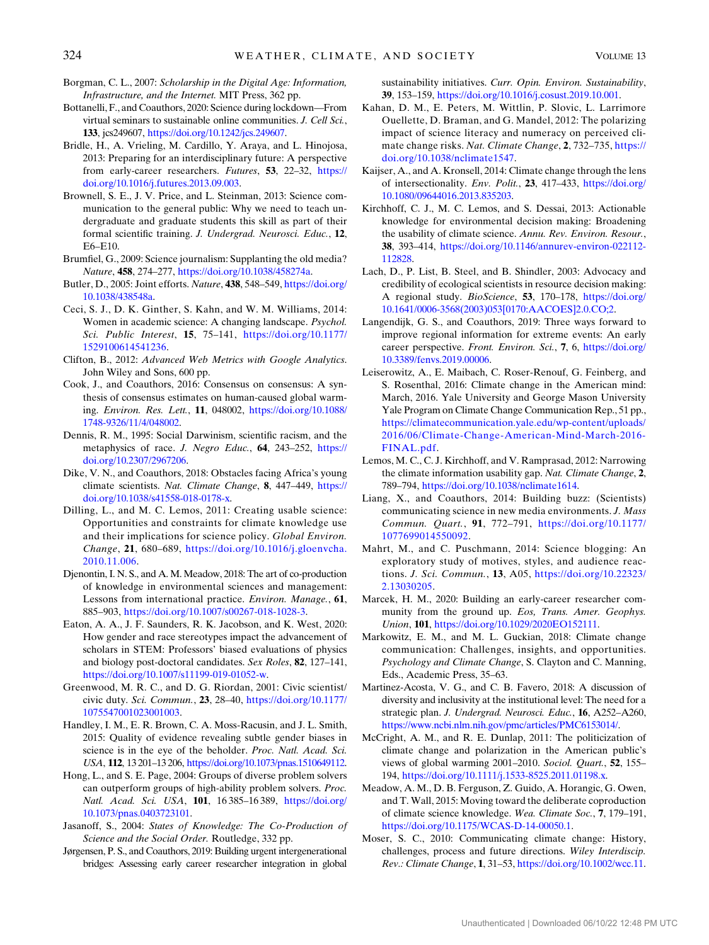- <span id="page-9-26"></span>Borgman, C. L., 2007: Scholarship in the Digital Age: Information, Infrastructure, and the Internet. MIT Press, 362 pp.
- <span id="page-9-33"></span>Bottanelli, F., and Coauthors, 2020: Science during lockdown—From virtual seminars to sustainable online communities. J. Cell Sci., 133, jcs249607, [https://doi.org/10.1242/jcs.249607.](https://doi.org/10.1242/jcs.249607)
- <span id="page-9-7"></span>Bridle, H., A. Vrieling, M. Cardillo, Y. Araya, and L. Hinojosa, 2013: Preparing for an interdisciplinary future: A perspective from early-career researchers. Futures, 53, 22-32, [https://](https://doi.org/10.1016/j.futures.2013.09.003) [doi.org/10.1016/j.futures.2013.09.003](https://doi.org/10.1016/j.futures.2013.09.003).
- <span id="page-9-25"></span>Brownell, S. E., J. V. Price, and L. Steinman, 2013: Science communication to the general public: Why we need to teach undergraduate and graduate students this skill as part of their formal scientific training. J. Undergrad. Neurosci. Educ., 12, E6–E10.
- <span id="page-9-27"></span>Brumfiel, G., 2009: Science journalism: Supplanting the old media? Nature, 458, 274–277, <https://doi.org/10.1038/458274a>.
- <span id="page-9-29"></span>Butler, D., 2005: Joint efforts. Nature, 438, 548–549, [https://doi.org/](https://doi.org/10.1038/438548a) [10.1038/438548a](https://doi.org/10.1038/438548a).
- <span id="page-9-22"></span>Ceci, S. J., D. K. Ginther, S. Kahn, and W. M. Williams, 2014: Women in academic science: A changing landscape. Psychol. Sci. Public Interest, 15, 75–141, [https://doi.org/10.1177/](https://doi.org/10.1177/1529100614541236) [1529100614541236](https://doi.org/10.1177/1529100614541236).
- <span id="page-9-32"></span>Clifton, B., 2012: Advanced Web Metrics with Google Analytics. John Wiley and Sons, 600 pp.
- <span id="page-9-15"></span>Cook, J., and Coauthors, 2016: Consensus on consensus: A synthesis of consensus estimates on human-caused global warming. Environ. Res. Lett., 11, 048002, [https://doi.org/10.1088/](https://doi.org/10.1088/1748-9326/11/4/048002) [1748-9326/11/4/048002](https://doi.org/10.1088/1748-9326/11/4/048002).
- <span id="page-9-19"></span>Dennis, R. M., 1995: Social Darwinism, scientific racism, and the metaphysics of race. J. Negro Educ., 64, 243–252, [https://](https://doi.org/10.2307/2967206) [doi.org/10.2307/2967206.](https://doi.org/10.2307/2967206)
- <span id="page-9-4"></span>Dike, V. N., and Coauthors, 2018: Obstacles facing Africa's young climate scientists. Nat. Climate Change, 8, 447–449, [https://](https://doi.org/10.1038/s41558-018-0178-x) [doi.org/10.1038/s41558-018-0178-x.](https://doi.org/10.1038/s41558-018-0178-x)
- <span id="page-9-2"></span>Dilling, L., and M. C. Lemos, 2011: Creating usable science: Opportunities and constraints for climate knowledge use and their implications for science policy. Global Environ. Change, 21, 680–689, [https://doi.org/10.1016/j.gloenvcha.](https://doi.org/10.1016/j.gloenvcha.2010.11.006) [2010.11.006](https://doi.org/10.1016/j.gloenvcha.2010.11.006).
- <span id="page-9-9"></span>Djenontin, I. N. S., and A. M. Meadow, 2018: The art of co-production of knowledge in environmental sciences and management: Lessons from international practice. Environ. Manage., 61, 885–903, <https://doi.org/10.1007/s00267-018-1028-3>.
- <span id="page-9-23"></span>Eaton, A. A., J. F. Saunders, R. K. Jacobson, and K. West, 2020: How gender and race stereotypes impact the advancement of scholars in STEM: Professors' biased evaluations of physics and biology post-doctoral candidates. Sex Roles, 82, 127–141, [https://doi.org/10.1007/s11199-019-01052-w.](https://doi.org/10.1007/s11199-019-01052-w)
- <span id="page-9-3"></span>Greenwood, M. R. C., and D. G. Riordan, 2001: Civic scientist/ civic duty. Sci. Commun., 23, 28–40, [https://doi.org/10.1177/](https://doi.org/10.1177/1075547001023001003) [1075547001023001003.](https://doi.org/10.1177/1075547001023001003)
- <span id="page-9-21"></span>Handley, I. M., E. R. Brown, C. A. Moss-Racusin, and J. L. Smith, 2015: Quality of evidence revealing subtle gender biases in science is in the eye of the beholder. Proc. Natl. Acad. Sci. USA, 112, 13 201–13 206, [https://doi.org/10.1073/pnas.1510649112.](https://doi.org/10.1073/pnas.1510649112)
- <span id="page-9-24"></span>Hong, L., and S. E. Page, 2004: Groups of diverse problem solvers can outperform groups of high-ability problem solvers. Proc. Natl. Acad. Sci. USA, 101, 16 385–16 389, [https://doi.org/](https://doi.org/10.1073/pnas.0403723101) [10.1073/pnas.0403723101.](https://doi.org/10.1073/pnas.0403723101)
- <span id="page-9-5"></span><span id="page-9-0"></span>Jasanoff, S., 2004: States of Knowledge: The Co-Production of Science and the Social Order. Routledge, 332 pp.
- Jørgensen, P. S., and Coauthors, 2019: Building urgent intergenerational bridges: Assessing early career researcher integration in global

sustainability initiatives. Curr. Opin. Environ. Sustainability, 39, 153–159, [https://doi.org/10.1016/j.cosust.2019.10.001.](https://doi.org/10.1016/j.cosust.2019.10.001)

- <span id="page-9-13"></span>Kahan, D. M., E. Peters, M. Wittlin, P. Slovic, L. Larrimore Ouellette, D. Braman, and G. Mandel, 2012: The polarizing impact of science literacy and numeracy on perceived climate change risks. Nat. Climate Change, 2, 732–735, [https://](https://doi.org/10.1038/nclimate1547) [doi.org/10.1038/nclimate1547](https://doi.org/10.1038/nclimate1547).
- <span id="page-9-20"></span>Kaijser, A., and A. Kronsell, 2014: Climate change through the lens of intersectionality. Env. Polit., 23, 417–433, [https://doi.org/](https://doi.org/10.1080/09644016.2013.835203) [10.1080/09644016.2013.835203.](https://doi.org/10.1080/09644016.2013.835203)
- <span id="page-9-10"></span>Kirchhoff, C. J., M. C. Lemos, and S. Dessai, 2013: Actionable knowledge for environmental decision making: Broadening the usability of climate science. Annu. Rev. Environ. Resour., 38, 393–414, [https://doi.org/10.1146/annurev-environ-022112-](https://doi.org/10.1146/annurev-environ-022112-112828) [112828](https://doi.org/10.1146/annurev-environ-022112-112828).
- <span id="page-9-12"></span>Lach, D., P. List, B. Steel, and B. Shindler, 2003: Advocacy and credibility of ecological scientists in resource decision making: A regional study. BioScience, 53, 170–178, [https://doi.org/](https://doi.org/10.1641/0006-3568(2003)053[0170:AACOES]2.0.CO;2) [10.1641/0006-3568\(2003\)053\[0170:AACOES\]2.0.CO;2.](https://doi.org/10.1641/0006-3568(2003)053[0170:AACOES]2.0.CO;2)
- <span id="page-9-8"></span>Langendijk, G. S., and Coauthors, 2019: Three ways forward to improve regional information for extreme events: An early career perspective. Front. Environ. Sci., 7, 6, [https://doi.org/](https://doi.org/10.3389/fenvs.2019.00006) [10.3389/fenvs.2019.00006](https://doi.org/10.3389/fenvs.2019.00006).
- <span id="page-9-14"></span>Leiserowitz, A., E. Maibach, C. Roser-Renouf, G. Feinberg, and S. Rosenthal, 2016: Climate change in the American mind: March, 2016. Yale University and George Mason University Yale Program on Climate Change Communication Rep., 51 pp., [https://climatecommunication.yale.edu/wp-content/uploads/](https://climatecommunication.yale.edu/wp-content/uploads/2016/06/Climate-Change-American-Mind-March-2016-FINAL.pdf) [2016/06/Climate-Change-American-Mind-March-2016-](https://climatecommunication.yale.edu/wp-content/uploads/2016/06/Climate-Change-American-Mind-March-2016-FINAL.pdf) [FINAL.pdf](https://climatecommunication.yale.edu/wp-content/uploads/2016/06/Climate-Change-American-Mind-March-2016-FINAL.pdf).
- <span id="page-9-11"></span>Lemos, M. C., C. J. Kirchhoff, and V. Ramprasad, 2012: Narrowing the climate information usability gap. Nat. Climate Change, 2, 789–794, <https://doi.org/10.1038/nclimate1614>.
- <span id="page-9-30"></span>Liang, X., and Coauthors, 2014: Building buzz: (Scientists) communicating science in new media environments. J. Mass Commun. Quart., 91, 772–791, [https://doi.org/10.1177/](https://doi.org/10.1177/1077699014550092) [1077699014550092.](https://doi.org/10.1177/1077699014550092)
- <span id="page-9-31"></span>Mahrt, M., and C. Puschmann, 2014: Science blogging: An exploratory study of motives, styles, and audience reactions. J. Sci. Commun., 13, A05, [https://doi.org/10.22323/](https://doi.org/10.22323/2.13030205) [2.13030205.](https://doi.org/10.22323/2.13030205)
- <span id="page-9-28"></span>Marcek, H. M., 2020: Building an early-career researcher community from the ground up. Eos, Trans. Amer. Geophys. Union, 101, [https://doi.org/10.1029/2020EO152111.](https://doi.org/10.1029/2020EO152111)
- <span id="page-9-16"></span>Markowitz, E. M., and M. L. Guckian, 2018: Climate change communication: Challenges, insights, and opportunities. Psychology and Climate Change, S. Clayton and C. Manning, Eds., Academic Press, 35–63.
- <span id="page-9-18"></span>Martinez-Acosta, V. G., and C. B. Favero, 2018: A discussion of diversity and inclusivity at the institutional level: The need for a strategic plan. J. Undergrad. Neurosci. Educ., 16, A252–A260, <https://www.ncbi.nlm.nih.gov/pmc/articles/PMC6153014/>.
- <span id="page-9-6"></span>McCright, A. M., and R. E. Dunlap, 2011: The politicization of climate change and polarization in the American public's views of global warming 2001–2010. Sociol. Quart., 52, 155– 194, <https://doi.org/10.1111/j.1533-8525.2011.01198.x>.
- <span id="page-9-1"></span>Meadow, A. M., D. B. Ferguson, Z. Guido, A. Horangic, G. Owen, and T. Wall, 2015: Moving toward the deliberate coproduction of climate science knowledge. Wea. Climate Soc., 7, 179–191, [https://doi.org/10.1175/WCAS-D-14-00050.1.](https://doi.org/10.1175/WCAS-D-14-00050.1)
- <span id="page-9-17"></span>Moser, S. C., 2010: Communicating climate change: History, challenges, process and future directions. Wiley Interdiscip. Rev.: Climate Change, 1, 31–53, [https://doi.org/10.1002/wcc.11.](https://doi.org/10.1002/wcc.11)